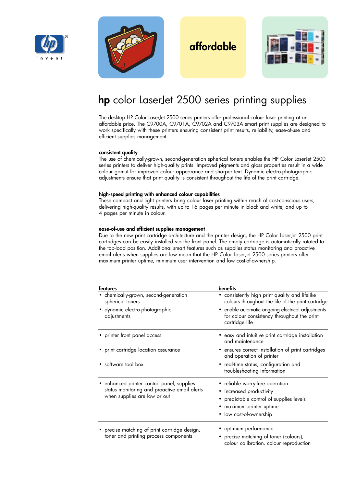



# **affordable**



# **hp** color LaserJet 2500 series printing supplies

The desktop HP Color LaserJet 2500 series printers offer professional colour laser printing at an affordable price. The C9700A, C9701A, C9702A and C9703A smart print supplies are designed to work specifically with these printers ensuring consistent print results, reliability, ease-of-use and efficient supplies management.

#### **consistent quality**

The use of chemically-grown, second-generation spherical toners enables the HP Color LaserJet 2500 series printers to deliver high-quality prints. Improved pigments and gloss properties result in a wide colour gamut for improved colour appearance and sharper text. Dynamic electro-photographic adjustments ensure that print quality is consistent throughout the life of the print cartridge.

### **high-speed printing with enhanced colour capabilities**

These compact and light printers bring colour laser printing within reach of cost-conscious users, delivering high-quality results, with up to 16 pages per minute in black and white, and up to 4 pages per minute in colour.

### **ease-of-use and efficient supplies management**

Due to the new print cartridge architecture and the printer design, the HP Color LaserJet 2500 print cartridges can be easily installed via the front panel. The empty cartridge is automatically rotated to the top-load position. Additional smart features such as supplies status monitoring and proactive email alerts when supplies are low mean that the HP Color LaserJet 2500 series printers offer maximum printer uptime, minimum user intervention and low cost-of-ownership.

| features                                                                     | <b>benefits</b>                                                                                                    |  |  |  |
|------------------------------------------------------------------------------|--------------------------------------------------------------------------------------------------------------------|--|--|--|
| · chemically-grown, second-generation<br>spherical toners                    | • consistently high print quality and lifelike<br>colours throughout the life of the print cartridge               |  |  |  |
| · dynamic electro-photographic<br>adjustments                                | • enable automatic ongoing electrical adjustments<br>for colour consistency throughout the print<br>cartridge life |  |  |  |
| • printer front panel access                                                 | • easy and intuitive print cartridge installation<br>and maintenance                                               |  |  |  |
| • print cartridge location assurance                                         | ensures correct installation of print cartridges<br>٠<br>and operation of printer                                  |  |  |  |
| • software tool box                                                          | • real-time status, configuration and<br>troubleshooting information                                               |  |  |  |
| • enhanced printer control panel, supplies                                   | • reliable worry-free operation                                                                                    |  |  |  |
| status monitoring and proactive email alerts<br>when supplies are low or out | • increased productivity                                                                                           |  |  |  |
|                                                                              | • predictable control of supplies levels                                                                           |  |  |  |
|                                                                              | • maximum printer uptime                                                                                           |  |  |  |
|                                                                              | • low cost-of-ownership                                                                                            |  |  |  |
| • precise matching of print cartridge design,                                | • optimum performance                                                                                              |  |  |  |
| toner and printing process components                                        | • precise matching of toner (colours),<br>colour calibration, colour reproduction                                  |  |  |  |